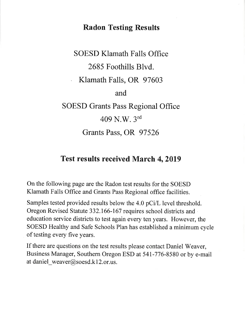## Radon Testing Results

# SOESD Klamath Falls Office 2685 Foothills Blvd. . Klamath Falls, OR <sup>97603</sup> and SOESD Grants Pass Regional Office  $409$  N.W.  $3^{rd}$ Grants Pass, OR 97526

## Test results received March 4, 2019

On the following page are the Radon test results for the SOESD Klamath Falls office and Grants Pass Regional office facilities.

Samples tested provided results below the 4.0 pCi/L level threshold. Oregon Revised Statute 332.166-167 requires school districts and education service districts to test again every ten years. However, the SOESD Healthy and Safe Schools Plan has established a minimum cycle of testing every five years.

If there are questions on the test results please contact Daniel Weaver, Business Manager, Southern Oregon ESD at 54I-776-8580 or by e-mail at daniel\_weaver@soesd.k12.or.us.